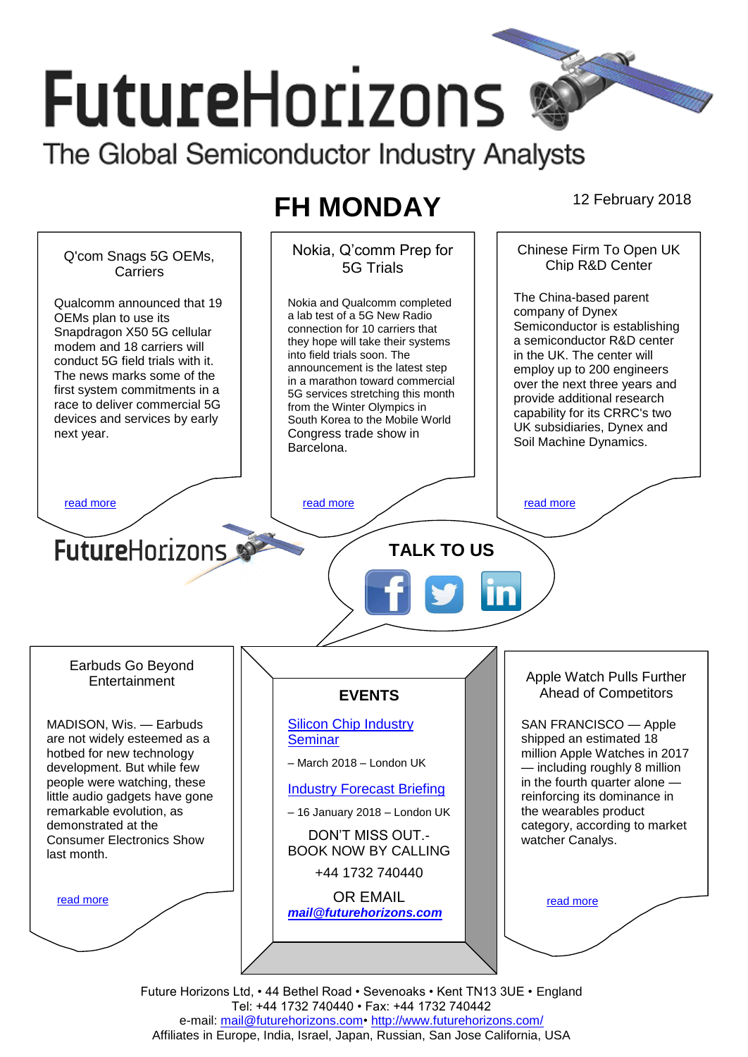# **FutureHorizons** The Global Semiconductor Industry Analysts

# **FH MONDAY** 12 February 2018

Nokia, Q'comm Prep for Chinese Firm To Open UK Q'com Snags 5G OEMs, Chin R&D Center 5G Trials Carriers The China-based parent Nokia and Qualcomm completed Qualcomm announced that 19 company of Dynex a lab test of a 5G New Radio OEMs plan to use its Semiconductor is establishing connection for 10 carriers that Snapdragon X50 5G cellular they hope will take their systems a semiconductor R&D center modem and 18 carriers will into field trials soon. The in the UK. The center will conduct 5G field trials with it. in the OK. The center will<br>employ up to 200 engineers announcement is the latest step The news marks some of the employ up to zoo engineers<br>over the next three years and in a marathon toward commercial first system commitments in a provide additional research 5G services stretching this month race to deliver commercial 5G from the Winter Olympics in capability for its CRRC's two devices and services by early South Korea to the Mobile World UK subsidiaries, Dynex and next year. Congress trade show in Soil Machine Dynamics. Barcelona. Deutsche Telekom, Elisa,  $K$ [read more](#page-1-2) that the second contract the second contract of the read more that the read more that the read more read more Vodafone Group. The companies hope that the **Future**Horizons **TALK TO US**  $\Delta$  trials lead to commercial to commercial the commercial to commercial the commercial to commercial the commercial to commercial three commercial to commercial three commercial to commercial three commercial to commerc dependent of a variety of a variety of  $\alpha$  $\frac{1}{2}$ China, Europe, Korea, Japan, and the United Earbuds Go Beyond Apple Watch Pulls Further **Entertainment** Ahead of Competitors **EVENTS** MADISON, Wis. — Earbuds [Silicon Chip Industry](http://www.futurehorizons.com/page/12/silicon-chip-training)  SAN FRANCISCO — Apple are not widely esteemed as a **[Seminar](http://www.futurehorizons.com/page/12/silicon-chip-training)** shipped an estimated 18 million Apple Watches in 2017 hotbed for new technology – March 2018 – London UK development. But while few — including roughly 8 million people were watching, these in the fourth quarter alone — [Industry Forecast Briefing](http://www.futurehorizons.com/page/13/Semiconductor-Market-Forecast-Seminar) little audio gadgets have gone reinforcing its dominance in remarkable evolution, as the wearables product – 16 January 2018 – London UK demonstrated at the category, according to market DON'T MISS OUT.- Consumer Electronics Show watcher Canalys. BOOK NOW BY CALLING last month.+44 1732 740440 OR EMAIL [read more](#page-1-3) [read more](#page-1-4) *[mail@futurehorizons.com](mailto:mail@futurehorizons.com)*

Future Horizons Ltd, • 44 Bethel Road • Sevenoaks • Kent TN13 3UE • England Tel: +44 1732 740440 • Fax: +44 1732 740442 e-mail: mail@futurehorizons.com• http://www.futurehorizons.com/ Affiliates in Europe, India, Israel, Japan, Russian, San Jose California, USA